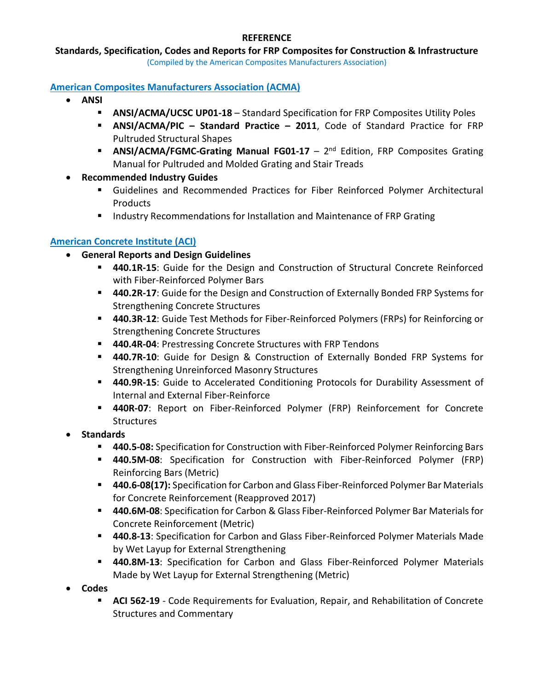#### **Standards, Specification, Codes and Reports for FRP Composites for Construction & Infrastructure**

(Compiled by the American Composites Manufacturers Association)

#### **American Composites Manufacturers Association (ACMA)**

- **ANSI**
	- **ANSI/ACMA/UCSC UP01-18** Standard Specification for FRP Composites Utility Poles
	- **ANSI/ACMA/PIC – Standard Practice – 2011**, Code of Standard Practice for FRP Pultruded Structural Shapes
	- **ANSI/ACMA/FGMC-Grating Manual FG01-17** 2<sup>nd</sup> Edition, FRP Composites Grating Manual for Pultruded and Molded Grating and Stair Treads
- **Recommended Industry Guides**
	- Guidelines and Recommended Practices for Fiber Reinforced Polymer Architectural **Products**
	- **IF Industry Recommendations for Installation and Maintenance of FRP Grating**

#### **American Concrete Institute (ACI)**

- **General Reports and Design Guidelines**
	- **440.1R-15**: Guide for the Design and [Construction](https://www.concrete.org/Store/ProductDetail.aspx?ItemID=440115) of Structural Concrete Reinforced with [Fiber-Reinforced](https://www.concrete.org/Store/ProductDetail.aspx?ItemID=440115) Polymer Bars
	- **440.2R-17**: Guide for the Design and [Construction](https://www.concrete.org/Store/ProductDetail.aspx?ItemID=440217) of Externally Bonded FRP Systems for [Strengthening](https://www.concrete.org/Store/ProductDetail.aspx?ItemID=440217) Concrete Structures
	- **440.3R-12**: Guide Test Methods for [Fiber-Reinforced](https://www.concrete.org/Store/ProductDetail.aspx?ItemID=440312) Polymers (FRPs) for Reinforcing or [Strengthening](https://www.concrete.org/Store/ProductDetail.aspx?ItemID=440312) Concrete Structures
	- **440.4R-04**: Prestressing Concrete Structures with FRP Tendons
	- **440.7R-10**: Guide for Design & [Construction](https://www.concrete.org/Store/ProductDetail.aspx?ItemID=440710) of Externally Bonded FRP Systems for [Strengthening](https://www.concrete.org/Store/ProductDetail.aspx?ItemID=440710) Unreinforced Masonry Structures
	- **440.9R-15**: Guide to Accelerated [Conditioning](https://www.concrete.org/Store/ProductDetail.aspx?ItemID=440915) Protocols for Durability Assessment of Internal and External [Fiber-Reinforce](https://www.concrete.org/Store/ProductDetail.aspx?ItemID=440915)
	- **440R-07**: Report on [Fiber-Reinforced](https://www.concrete.org/Store/ProductDetail.aspx?ItemID=44007) Polymer (FRP) Reinforcement for Concrete **[Structures](https://www.concrete.org/Store/ProductDetail.aspx?ItemID=44007)**
- **Standards**
	- **440.5-08:** Specification for Construction with [Fiber-Reinforced](https://www.concrete.org/Store/ProductDetail.aspx?ItemID=440508) Polymer Reinforcing Bars
	- **440.5M-08**: Specification for Construction with [Fiber-Reinforced](https://www.concrete.org/Store/ProductDetail.aspx?ItemID=4405M08) Polymer (FRP) [Reinforcing](https://www.concrete.org/Store/ProductDetail.aspx?ItemID=4405M08) Bars (Metric)
	- **440.6-08(17):** Specification for Carbon and Glass [Fiber-Reinforced](https://www.concrete.org/Store/ProductDetail.aspx?ItemID=440608) Polymer Bar Materials for Concrete [Reinforcement](https://www.concrete.org/Store/ProductDetail.aspx?ItemID=440608) (Reapproved 2017)
	- **440.6M-08**: Specification for Carbon & Glass [Fiber-Reinforced](https://www.concrete.org/Store/ProductDetail.aspx?ItemID=4406M08) Polymer Bar Materials for Concrete [Reinforcement](https://www.concrete.org/Store/ProductDetail.aspx?ItemID=4406M08) (Metric)
	- **440.8-13**: Specification for Carbon and Glass [Fiber-Reinforced](https://www.concrete.org/Store/ProductDetail.aspx?ItemID=440813) Polymer Materials Made by Wet Layup for External [Strengtheni](https://www.concrete.org/Store/ProductDetail.aspx?ItemID=440813)ng
	- **440.8M-13**: Specification for Carbon and Glass [Fiber-Reinforced](https://www.concrete.org/Store/ProductDetail.aspx?ItemID=4408M13) Polymer Materials Made by Wet Layup for External [Strengthening](https://www.concrete.org/Store/ProductDetail.aspx?ItemID=4408M13) (Metric)
- **Codes**
	- **ACI 562-19** Code Requirements for Evaluation, Repair, and Rehabilitation of Concrete Structures and Commentary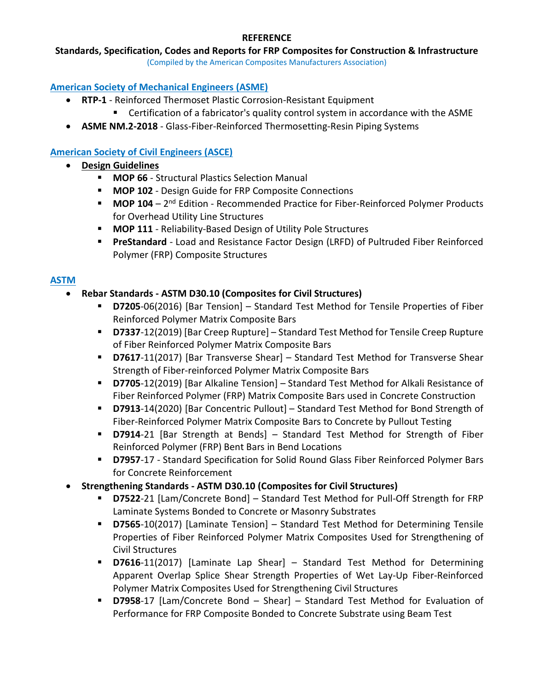#### **Standards, Specification, Codes and Reports for FRP Composites for Construction & Infrastructure**

(Compiled by the American Composites Manufacturers Association)

### **American Society of Mechanical Engineers (ASME)**

- **RTP-1** Reinforced Thermoset Plastic Corrosion-Resistant Equipment
	- Certification of a fabricator's quality control system in accordance with the ASME
- **ASME NM.2-2018** Glass-Fiber-Reinforced Thermosetting-Resin Piping Systems

## **American Society of Civil Engineers (ASCE)**

- **Design Guidelines**
	- **MOP 66** Structural Plastics Selection Manual
	- **MOP 102** Design Guide for FRP Composite Connections
	- **MOP 104** 2<sup>nd</sup> Edition Recommended Practice for Fiber-Reinforced Polymer Products for Overhead Utility Line Structures
	- **MOP 111** Reliability-Based Design of Utility Pole Structures
	- **PreStandard** Load and Resistance Factor Design (LRFD) of Pultruded Fiber Reinforced Polymer (FRP) Composite Structures

### **ASTM**

### • **Rebar Standards - ASTM D30.10 (Composites for Civil Structures)**

- **D7205**-06(2016) [Bar Tension] Standard Test Method for Tensile Properties of Fiber Reinforced Polymer Matrix Composite Bars
- **D7337**-12(2019) [Bar Creep Rupture] Standard Test Method for Tensile Creep Rupture of Fiber Reinforced Polymer Matrix Composite Bars
- **D7617**-11(2017) [Bar Transverse Shear] Standard Test Method for Transverse Shear Strength of Fiber-reinforced Polymer Matrix Composite Bars
- **D7705**-12(2019) [Bar Alkaline Tension] Standard Test Method for Alkali Resistance of Fiber Reinforced Polymer (FRP) Matrix Composite Bars used in Concrete Construction
- **D7913**-14(2020) [Bar Concentric Pullout] Standard Test Method for Bond Strength of Fiber-Reinforced Polymer Matrix Composite Bars to Concrete by Pullout Testing
- **D7914**-21 [Bar Strength at Bends] Standard Test Method for Strength of Fiber Reinforced Polymer (FRP) Bent Bars in Bend Locations
- **D7957**-17 Standard Specification for Solid Round Glass Fiber Reinforced Polymer Bars for Concrete Reinforcement

#### • **Strengthening Standards - ASTM D30.10 (Composites for Civil Structures)**

- **D7522**-21 [Lam/Concrete Bond] Standard Test Method for Pull-Off Strength for FRP Laminate Systems Bonded to Concrete or Masonry Substrates
- **D7565**-10(2017) [Laminate Tension] Standard Test Method for Determining Tensile Properties of Fiber Reinforced Polymer Matrix Composites Used for Strengthening of Civil Structures
- **D7616**-11(2017) [Laminate Lap Shear] Standard Test Method for Determining Apparent Overlap Splice Shear Strength Properties of Wet Lay-Up Fiber-Reinforced Polymer Matrix Composites Used for Strengthening Civil Structures
- **D7958**-17 [Lam/Concrete Bond Shear] Standard Test Method for Evaluation of Performance for FRP Composite Bonded to Concrete Substrate using Beam Test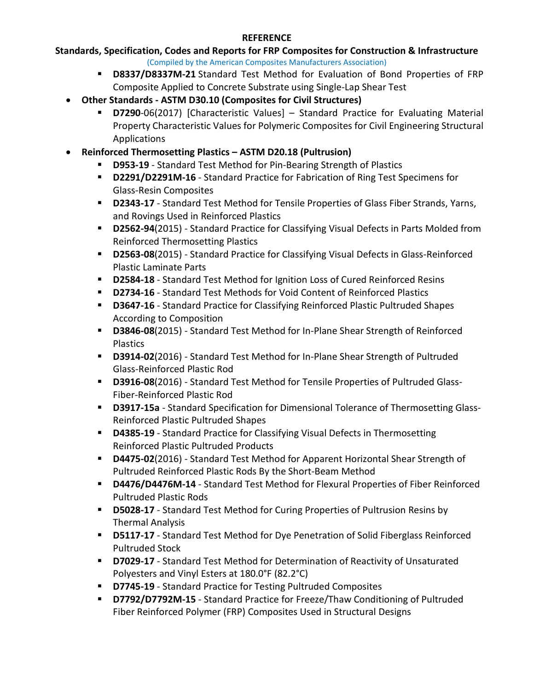# **Standards, Specification, Codes and Reports for FRP Composites for Construction & Infrastructure**

- (Compiled by the American Composites Manufacturers Association)
- **D8337/D8337M-21** Standard Test Method for Evaluation of Bond Properties of FRP Composite Applied to Concrete Substrate using Single-Lap Shear Test
- **Other Standards - ASTM D30.10 (Composites for Civil Structures)**
	- **D7290**-06(2017) [Characteristic Values] Standard Practice for Evaluating Material Property Characteristic Values for Polymeric Composites for Civil Engineering Structural Applications
- **Reinforced Thermosetting Plastics – ASTM D20.18 (Pultrusion)**
	- **D953-19** Standard Test Method for Pin-Bearing Strength of Plastics
	- **D2291/D2291M-16** Standard Practice for Fabrication of Ring Test Specimens for Glass-Resin Composites
	- **D2343-17** Standard Test Method for Tensile Properties of Glass Fiber Strands, Yarns, and Rovings Used in Reinforced Plastics
	- **D2562-94**(2015) Standard Practice for Classifying Visual Defects in Parts Molded from Reinforced Thermosetting Plastics
	- **D2563-08**(2015) Standard Practice for Classifying Visual Defects in Glass-Reinforced Plastic Laminate Parts
	- **D2584-18** Standard Test Method for Ignition Loss of Cured Reinforced Resins
	- **D2734-16** Standard Test Methods for Void Content of Reinforced Plastics
	- **D3647-16** Standard Practice for Classifying Reinforced Plastic Pultruded Shapes According to Composition
	- **D3846-08**(2015) Standard Test Method for In-Plane Shear Strength of Reinforced Plastics
	- **D3914-02**(2016) Standard Test Method for In-Plane Shear Strength of Pultruded Glass-Reinforced Plastic Rod
	- **D3916-08**(2016) Standard Test Method for Tensile Properties of Pultruded Glass-Fiber-Reinforced Plastic Rod
	- **D3917-15a** Standard Specification for Dimensional Tolerance of Thermosetting Glass-Reinforced Plastic Pultruded Shapes
	- **D4385-19** Standard Practice for Classifying Visual Defects in Thermosetting Reinforced Plastic Pultruded Products
	- **D4475-02**(2016) Standard Test Method for Apparent Horizontal Shear Strength of Pultruded Reinforced Plastic Rods By the Short-Beam Method
	- **D4476/D4476M-14** Standard Test Method for Flexural Properties of Fiber Reinforced Pultruded Plastic Rods
	- **D5028-17** Standard Test Method for Curing Properties of Pultrusion Resins by Thermal Analysis
	- **D5117-17** Standard Test Method for Dye Penetration of Solid Fiberglass Reinforced Pultruded Stock
	- **D7029-17** Standard Test Method for Determination of Reactivity of Unsaturated Polyesters and Vinyl Esters at 180.0°F (82.2°C)
	- **D7745-19** Standard Practice for Testing Pultruded Composites
	- **D7792/D7792M-15** Standard Practice for Freeze/Thaw Conditioning of Pultruded Fiber Reinforced Polymer (FRP) Composites Used in Structural Designs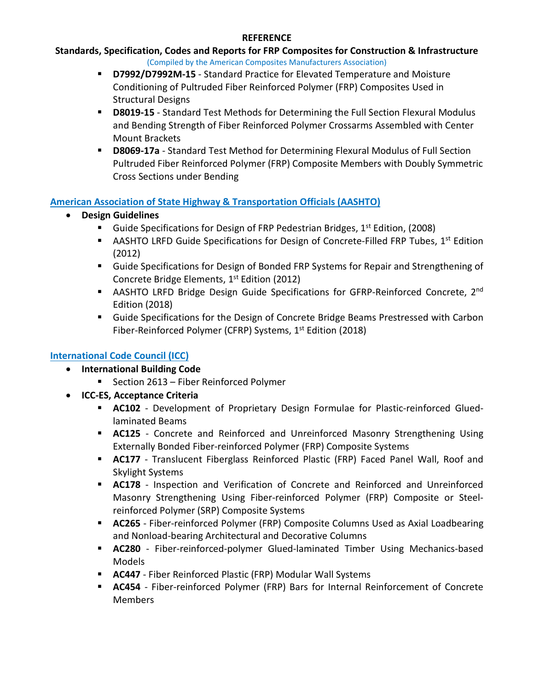# **Standards, Specification, Codes and Reports for FRP Composites for Construction & Infrastructure**

- (Compiled by the American Composites Manufacturers Association)
- **D7992/D7992M-15** Standard Practice for Elevated Temperature and Moisture Conditioning of Pultruded Fiber Reinforced Polymer (FRP) Composites Used in Structural Designs
- **D8019-15** Standard Test Methods for Determining the Full Section Flexural Modulus and Bending Strength of Fiber Reinforced Polymer Crossarms Assembled with Center Mount Brackets
- **D8069-17a** Standard Test Method for Determining Flexural Modulus of Full Section Pultruded Fiber Reinforced Polymer (FRP) Composite Members with Doubly Symmetric Cross Sections under Bending

#### **American Association of State Highway & Transportation Officials (AASHTO)**

- **Design Guidelines**
	- Guide Specifications for Design of FRP Pedestrian Bridges, 1<sup>st</sup> Edition, (2008)
	- AASHTO LRFD Guide Specifications for Design of Concrete-Filled FRP Tubes,  $1^{st}$  Edition (2012)
	- Guide Specifications for Design of Bonded FRP Systems for Repair and Strengthening of Concrete Bridge Elements, 1<sup>st</sup> Edition (2012)
	- **AASHTO LRFD Bridge Design Guide Specifications for GFRP-Reinforced Concrete, 2nd** Edition (2018)
	- Guide Specifications for the Design of Concrete Bridge Beams Prestressed with Carbon Fiber-Reinforced Polymer (CFRP) Systems, 1<sup>st</sup> Edition (2018)

## **International Code Council (ICC)**

- **International Building Code**
	- Section 2613 Fiber Reinforced Polymer
- **ICC-ES, Acceptance Criteria**
	- **AC102** Development of Proprietary Design Formulae for Plastic-reinforced Gluedlaminated Beams
	- **AC125** Concrete and Reinforced and Unreinforced Masonry Strengthening Using Externally Bonded Fiber-reinforced Polymer (FRP) Composite Systems
	- **AC177** Translucent Fiberglass Reinforced Plastic (FRP) Faced Panel Wall, Roof and Skylight Systems
	- **AC178** Inspection and Verification of Concrete and Reinforced and Unreinforced Masonry Strengthening Using Fiber-reinforced Polymer (FRP) Composite or Steelreinforced Polymer (SRP) Composite Systems
	- **AC265** Fiber-reinforced Polymer (FRP) Composite Columns Used as Axial Loadbearing and Nonload-bearing Architectural and Decorative Columns
	- **AC280** Fiber-reinforced-polymer Glued-laminated Timber Using Mechanics-based Models
	- **AC447** Fiber Reinforced Plastic (FRP) Modular Wall Systems
	- **AC454** Fiber-reinforced Polymer (FRP) Bars for Internal Reinforcement of Concrete Members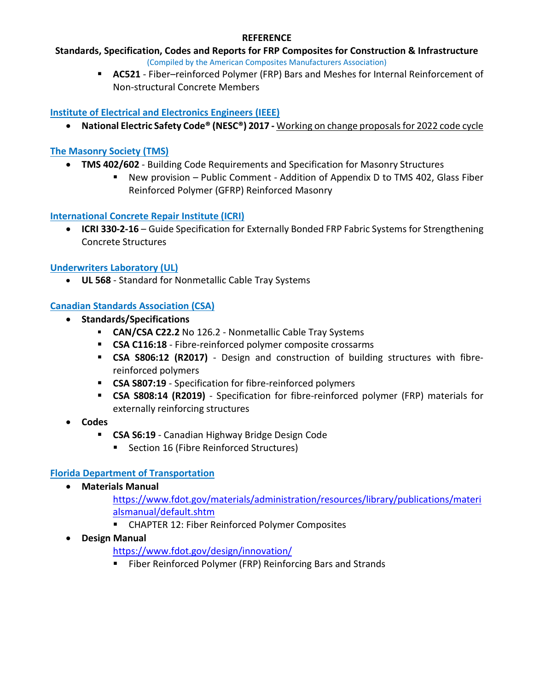# **Standards, Specification, Codes and Reports for FRP Composites for Construction & Infrastructure**

(Compiled by the American Composites Manufacturers Association)

 **AC521** - Fiber–reinforced Polymer (FRP) Bars and Meshes for Internal Reinforcement of Non-structural Concrete Members

### **Institute of Electrical and Electronics Engineers (IEEE)**

• **National Electric Safety Code® (NESC®) 2017 -** Working on change proposals for 2022 code cycle

### **The Masonry Society (TMS)**

- **TMS 402/602** Building Code Requirements and Specification for Masonry Structures
	- New provision Public Comment Addition of Appendix D to TMS 402, Glass Fiber Reinforced Polymer (GFRP) Reinforced Masonry

### **International Concrete Repair Institute (ICRI)**

• **ICRI 330-2-16** – Guide Specification for Externally Bonded FRP Fabric Systems for Strengthening Concrete Structures

### **Underwriters Laboratory (UL)**

• **UL 568** - Standard for Nonmetallic Cable Tray Systems

## **Canadian Standards Association (CSA)**

- **Standards/Specifications**
	- **CAN/CSA C22.2** No 126.2 Nonmetallic Cable Tray Systems
	- **CSA C116:18** Fibre-reinforced polymer composite crossarms
	- **CSA S806:12 (R2017)** Design and construction of building structures with fibrereinforced polymers
	- **CSA S807:19** Specification for fibre-reinforced polymers
	- **CSA S808:14 (R2019)** Specification for fibre-reinforced polymer (FRP) materials for externally reinforcing structures
- **Codes**
	- **CSA S6:19** Canadian Highway Bridge Design Code
		- Section 16 (Fibre Reinforced Structures)

## **Florida Department of Transportation**

• **Materials Manual**

[https://www.fdot.gov/materials/administration/resources/library/publications/materi](https://www.fdot.gov/materials/administration/resources/library/publications/materialsmanual/default.shtm) [alsmanual/default.shtm](https://www.fdot.gov/materials/administration/resources/library/publications/materialsmanual/default.shtm)

- CHAPTER 12: Fiber Reinforced Polymer Composites
- **Design Manual**

<https://www.fdot.gov/design/innovation/>

**Fiber Reinforced Polymer (FRP) Reinforcing Bars and Strands**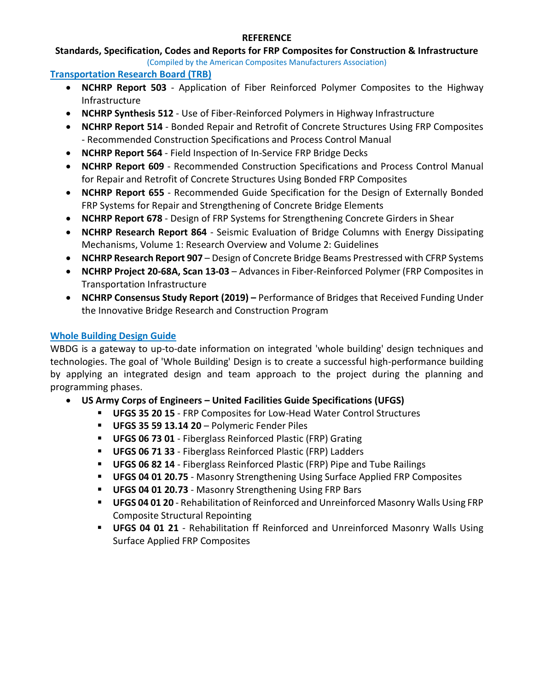### **Standards, Specification, Codes and Reports for FRP Composites for Construction & Infrastructure**

(Compiled by the American Composites Manufacturers Association)

#### **Transportation Research Board (TRB)**

- **NCHRP Report 503** Application of Fiber Reinforced Polymer Composites to the Highway Infrastructure
- **NCHRP Synthesis 512** Use of Fiber-Reinforced Polymers in Highway Infrastructure
- **NCHRP Report 514** Bonded Repair and Retrofit of Concrete Structures Using FRP Composites - Recommended Construction Specifications and Process Control Manual
- **NCHRP Report 564** Field Inspection of In-Service FRP Bridge Decks
- **NCHRP Report 609** Recommended Construction Specifications and Process Control Manual for Repair and Retrofit of Concrete Structures Using Bonded FRP Composites
- **NCHRP Report 655** Recommended Guide Specification for the Design of Externally Bonded FRP Systems for Repair and Strengthening of Concrete Bridge Elements
- **NCHRP Report 678** Design of FRP Systems for Strengthening Concrete Girders in Shear
- **NCHRP Research Report 864** Seismic Evaluation of Bridge Columns with Energy Dissipating Mechanisms, Volume 1: Research Overview and Volume 2: Guidelines
- **NCHRP Research Report 907**  Design of Concrete Bridge Beams Prestressed with CFRP Systems
- **NCHRP Project 20-68A, Scan 13-03** Advances in Fiber-Reinforced Polymer (FRP Composites in Transportation Infrastructure
- **NCHRP Consensus Study Report (2019) –** Performance of Bridges that Received Funding Under the Innovative Bridge Research and Construction Program

### **Whole Building Design Guide**

WBDG is a gateway to up-to-date information on integrated 'whole building' design techniques and technologies. The goal of 'Whole Building' Design is to create a successful high-performance building by applying an integrated design and team approach to the project during the planning and programming phases.

- **US Army Corps of Engineers – United Facilities Guide Specifications (UFGS)**
	- **UFGS 35 20 15** FRP Composites for Low-Head Water Control Structures
	- **UFGS 35 59 13.14 20** Polymeric Fender Piles
	- **UFGS 06 73 01** Fiberglass Reinforced Plastic (FRP) Grating
	- **UFGS 06 71 33** Fiberglass Reinforced Plastic (FRP) Ladders
	- **UFGS 06 82 14** Fiberglass Reinforced Plastic (FRP) Pipe and Tube Railings
	- **UFGS 04 01 20.75** Masonry Strengthening Using Surface Applied FRP Composites
	- **UFGS 04 01 20.73** Masonry Strengthening Using FRP Bars
	- **UFGS 04 01 20** Rehabilitation of Reinforced and Unreinforced Masonry Walls Using FRP Composite Structural Repointing
	- **UFGS 04 01 21** Rehabilitation ff Reinforced and Unreinforced Masonry Walls Using Surface Applied FRP Composites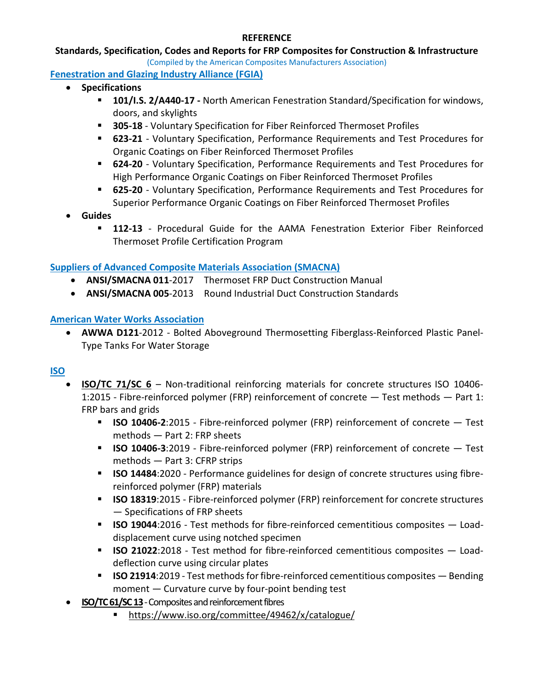#### **Standards, Specification, Codes and Reports for FRP Composites for Construction & Infrastructure**

(Compiled by the American Composites Manufacturers Association)

**Fenestration and Glazing Industry Alliance (FGIA)**

- **Specifications**
	- **101/I.S. 2/A440-17 -** North American Fenestration Standard/Specification for windows, doors, and skylights
	- **305-18**  Voluntary Specification for Fiber Reinforced Thermoset Profiles
	- **623-21**  Voluntary Specification, Performance Requirements and Test Procedures for Organic Coatings on Fiber Reinforced Thermoset Profiles
	- **624-20** Voluntary Specification, Performance Requirements and Test Procedures for High Performance Organic Coatings on Fiber Reinforced Thermoset Profiles
	- **625-20**  Voluntary Specification, Performance Requirements and Test Procedures for Superior Performance Organic Coatings on Fiber Reinforced Thermoset Profiles
- **Guides**
	- **112-13**  Procedural Guide for the AAMA Fenestration Exterior Fiber Reinforced Thermoset Profile Certification Program

### **Suppliers of Advanced Composite Materials Association (SMACNA)**

- **ANSI/SMACNA 011**-2017 Thermoset FRP Duct Construction Manual
- **ANSI/SMACNA 005**-2013 Round Industrial Duct Construction Standards

#### **American Water Works Association**

• **AWWA D121**-2012 - Bolted Aboveground Thermosetting Fiberglass-Reinforced Plastic Panel-Type Tanks For Water Storage

#### **ISO**

- **ISO/TC 71/SC 6** Non-traditional reinforcing materials for concrete structures [ISO 10406-](https://www.iso.org/standard/63657.html?browse=tc) [1:2015 -](https://www.iso.org/standard/63657.html?browse=tc) Fibre-reinforced polymer (FRP) reinforcement of concrete — Test methods — Part 1: FRP bars and grids
	- **[ISO 10406-2](https://www.iso.org/standard/63658.html?browse=tc)**:2015 Fibre-reinforced polymer (FRP) reinforcement of concrete Test methods — Part 2: FRP sheet[s](https://www.iso.org/standard/72162.html?browse=tc)
	- **[ISO 10406-3](https://www.iso.org/standard/72162.html?browse=tc)**:2019 Fibre-reinforced polymer (FRP) reinforcement of concrete Test methods — Part 3: CFRP strip[s](https://www.iso.org/standard/77500.html?browse=tc)
	- **[ISO 14484](https://www.iso.org/standard/77500.html?browse=tc):2020** Performance guidelines for design of concrete structures using fibrereinforced polymer (FRP) material[s](https://www.iso.org/standard/62134.html?browse=tc)
	- **[ISO 18319](https://www.iso.org/standard/62134.html?browse=tc)**:2015 Fibre-reinforced polymer (FRP) reinforcement for concrete structures — Specifications of FRP sheet[s](https://www.iso.org/standard/63793.html?browse=tc)
	- **[ISO 19044](https://www.iso.org/standard/63793.html?browse=tc)**:2016 Test methods for fibre-reinforced cementitious composites Loaddisplacement curve using notched specime[n](https://www.iso.org/standard/69715.html?browse=tc)
	- **[ISO 21022](https://www.iso.org/standard/69715.html?browse=tc)**:2018 Test method for fibre-reinforced cementitious composites Loaddeflection curve using circular plate[s](https://www.iso.org/standard/72163.html?browse=tc)
	- **[ISO 21914](https://www.iso.org/standard/72163.html?browse=tc)**:2019 Test methods for fibre-reinforced cementitious composites Bending moment — Curvature curve by four-point bending test
- **ISO/TC 61/SC 13**-Composites and reinforcement fibres
	- <https://www.iso.org/committee/49462/x/catalogue/>